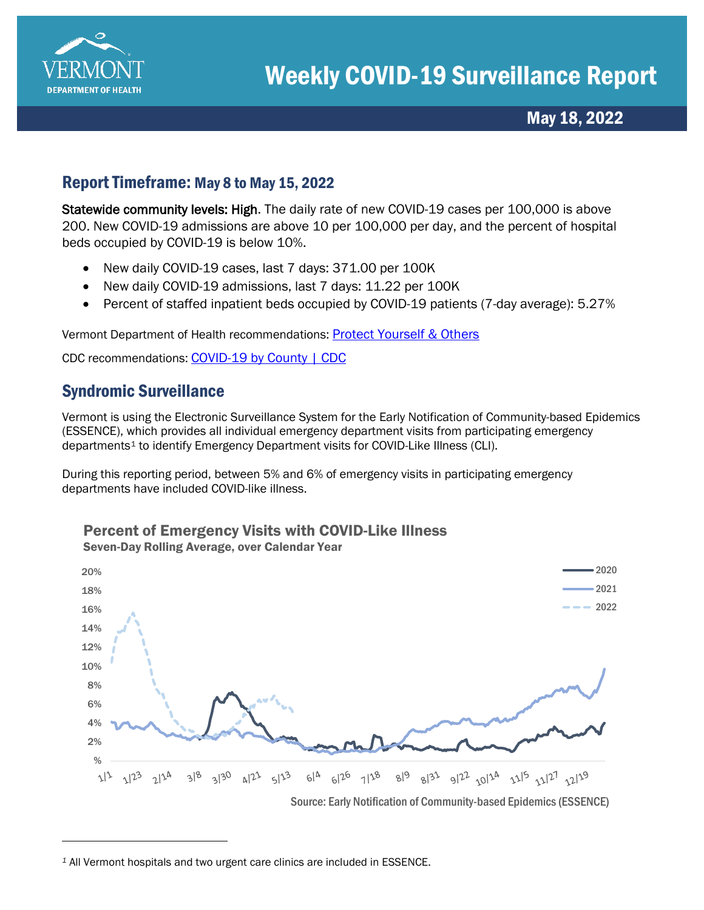

May 18, 2022

### Report Timeframe: May 8 to May 15, 2022

Statewide community levels: High. The daily rate of new COVID-19 cases per 100,000 is above 200. New COVID-19 admissions are above 10 per 100,000 per day, and the percent of hospital beds occupied by COVID-19 is below 10%.

- New daily COVID-19 cases, last 7 days: 371.00 per 100K
- New daily COVID-19 admissions, last 7 days: 11.22 per 100K
- Percent of staffed inpatient beds occupied by COVID-19 patients (7-day average): 5.27%

Vermont Department of Health recommendations: [Protect Yourself & Others](https://www.healthvermont.gov/covid-19/protect-yourself-others) 

CDC recommendations: [COVID-19 by County | CDC](https://www.cdc.gov/coronavirus/2019-ncov/your-health/covid-by-county.html)

# Syndromic Surveillance

Vermont is using the Electronic Surveillance System for the Early Notification of Community-based Epidemics (ESSENCE), which provides all individual emergency department visits from participating emergency departments[1](#page-0-0) to identify Emergency Department visits for COVID-Like Illness (CLI).

During this reporting period, between 5% and 6% of emergency visits in participating emergency departments have included COVID-like illness.



Percent of Emergency Visits with COVID-Like Illness

<span id="page-0-0"></span>*<sup>1</sup>* All Vermont hospitals and two urgent care clinics are included in ESSENCE.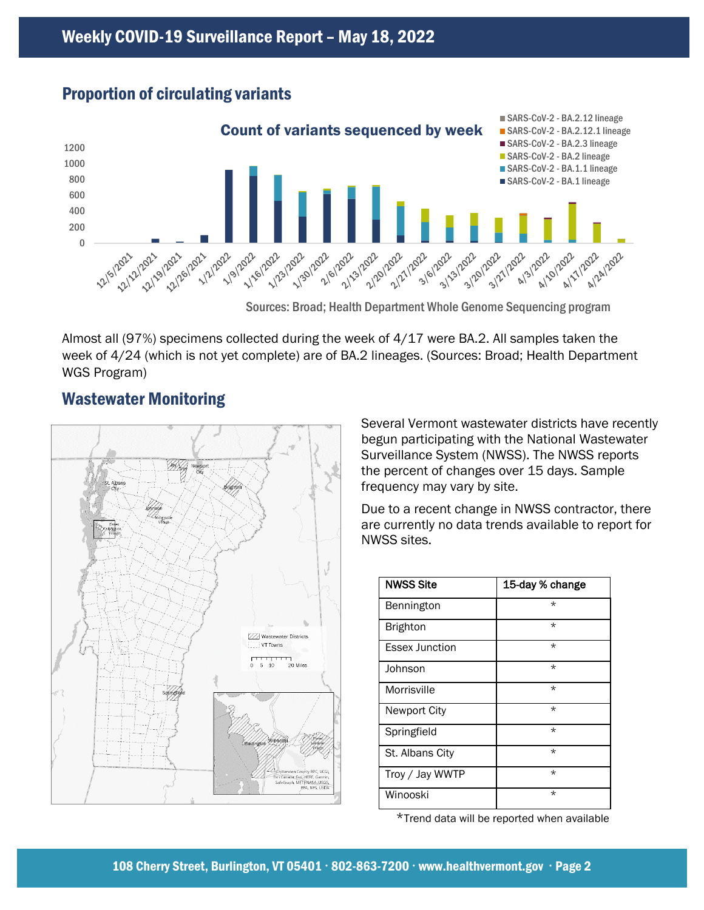## Proportion of circulating variants



Sources: Broad; Health Department Whole Genome Sequencing program

Almost all (97%) specimens collected during the week of 4/17 were BA.2. All samples taken the week of 4/24 (which is not yet complete) are of BA.2 lineages. (Sources: Broad; Health Department WGS Program)

# Wastewater Monitoring



Several Vermont wastewater districts have recently begun participating with the National Wastewater Surveillance System (NWSS). The NWSS reports the percent of changes over 15 days. Sample frequency may vary by site.

Due to a recent change in NWSS contractor, there are currently no data trends available to report for NWSS sites.

| <b>NWSS Site</b>      | 15-day % change |
|-----------------------|-----------------|
| Bennington            | $\star$         |
| <b>Brighton</b>       | $\star$         |
| <b>Essex Junction</b> | $\star$         |
| Johnson               | $\star$         |
| Morrisville           | $\star$         |
| <b>Newport City</b>   | $\star$         |
| Springfield           | $\star$         |
| St. Albans City       | $\star$         |
| Troy / Jay WWTP       | $\star$         |
| Winooski              | $\star$         |

\*Trend data will be reported when available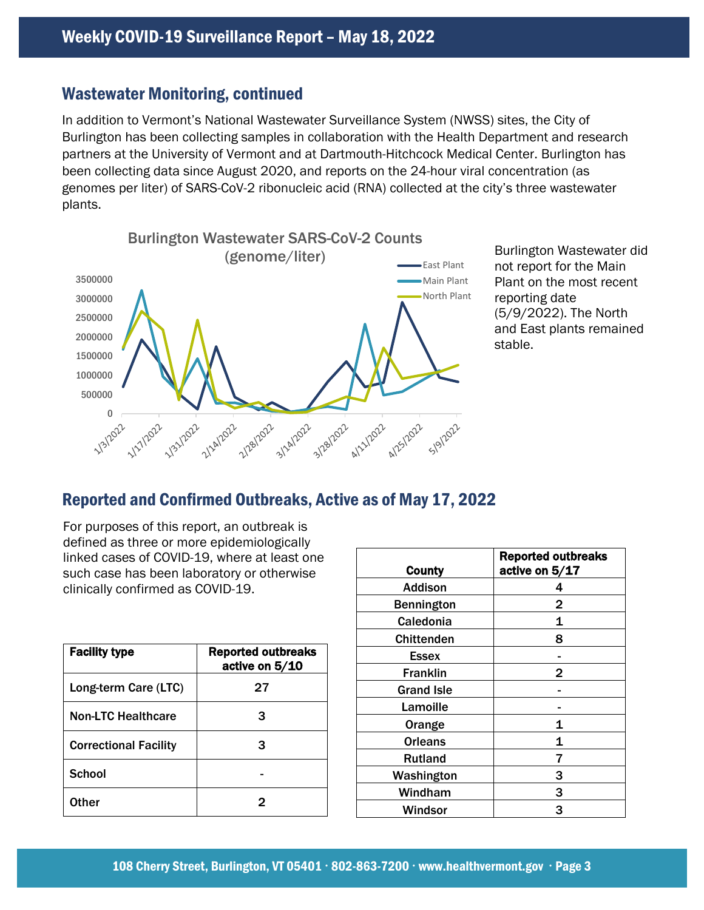#### Wastewater Monitoring, continued

In addition to Vermont's National Wastewater Surveillance System (NWSS) sites, the City of Burlington has been collecting samples in collaboration with the Health Department and research partners at the University of Vermont and at Dartmouth-Hitchcock Medical Center. Burlington has been collecting data since August 2020, and reports on the 24-hour viral concentration (as genomes per liter) of SARS-CoV-2 ribonucleic acid (RNA) collected at the city's three wastewater plants.



Burlington Wastewater did not report for the Main Plant on the most recent reporting date (5/9/2022). The North and East plants remained stable.

# Reported and Confirmed Outbreaks, Active as of May 17, 2022

For purposes of this report, an outbreak is defined as three or more epidemiologically linked cases of COVID-19, where at least one such case has been laboratory or otherwise clinically confirmed as COVID-19.

| <b>Facility type</b>         | <b>Reported outbreaks</b><br>active on 5/10 |
|------------------------------|---------------------------------------------|
| Long-term Care (LTC)         | 27                                          |
| <b>Non-LTC Healthcare</b>    | з                                           |
| <b>Correctional Facility</b> | 3                                           |
| <b>School</b>                |                                             |
| Other                        | 2                                           |

|                   | <b>Reported outbreaks</b> |
|-------------------|---------------------------|
| <b>County</b>     | active on 5/17            |
| <b>Addison</b>    | 4                         |
| <b>Bennington</b> | 2                         |
| Caledonia         | 1                         |
| <b>Chittenden</b> | 8                         |
| Essex             |                           |
| <b>Franklin</b>   | 2                         |
| <b>Grand Isle</b> |                           |
| Lamoille          |                           |
| Orange            | 1                         |
| <b>Orleans</b>    | 1                         |
| <b>Rutland</b>    | 7                         |
| Washington        | 3                         |
| Windham           | 3                         |
| Windsor           | 3                         |